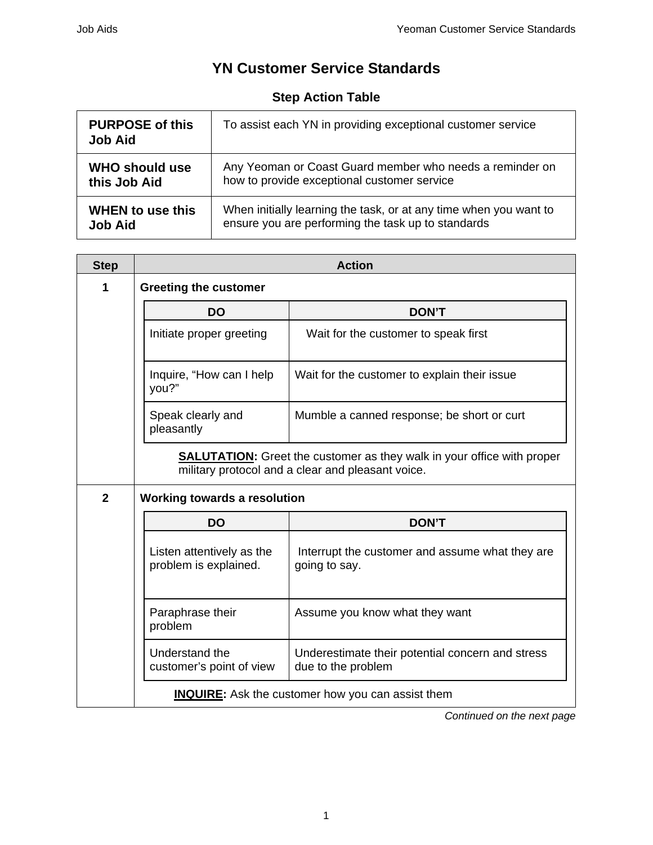## **YN Customer Service Standards**

## **Step Action Table**

| <b>PURPOSE of this</b><br><b>Job Aid</b> | To assist each YN in providing exceptional customer service       |
|------------------------------------------|-------------------------------------------------------------------|
| <b>WHO should use</b>                    | Any Yeoman or Coast Guard member who needs a reminder on          |
| this Job Aid                             | how to provide exceptional customer service                       |
| <b>WHEN to use this</b>                  | When initially learning the task, or at any time when you want to |
| <b>Job Aid</b>                           | ensure you are performing the task up to standards                |

| <b>Step</b>  | <b>Action</b>                                                                                                                      |                                                                        |  |  |  |
|--------------|------------------------------------------------------------------------------------------------------------------------------------|------------------------------------------------------------------------|--|--|--|
| 1            | <b>Greeting the customer</b>                                                                                                       |                                                                        |  |  |  |
|              | <b>DO</b>                                                                                                                          | <b>DON'T</b>                                                           |  |  |  |
|              | Initiate proper greeting                                                                                                           | Wait for the customer to speak first                                   |  |  |  |
|              | Inquire, "How can I help<br>you?"                                                                                                  | Wait for the customer to explain their issue                           |  |  |  |
|              | Speak clearly and<br>pleasantly                                                                                                    | Mumble a canned response; be short or curt                             |  |  |  |
|              | <b>SALUTATION:</b> Greet the customer as they walk in your office with proper<br>military protocol and a clear and pleasant voice. |                                                                        |  |  |  |
| $\mathbf{2}$ | <b>Working towards a resolution</b>                                                                                                |                                                                        |  |  |  |
|              | <b>DO</b>                                                                                                                          | <b>DON'T</b>                                                           |  |  |  |
|              | Listen attentively as the<br>problem is explained.                                                                                 | Interrupt the customer and assume what they are<br>going to say.       |  |  |  |
|              | Paraphrase their<br>problem                                                                                                        | Assume you know what they want                                         |  |  |  |
|              | Understand the<br>customer's point of view                                                                                         | Underestimate their potential concern and stress<br>due to the problem |  |  |  |
|              |                                                                                                                                    | <b>INQUIRE:</b> Ask the customer how you can assist them               |  |  |  |

*Continued on the next page*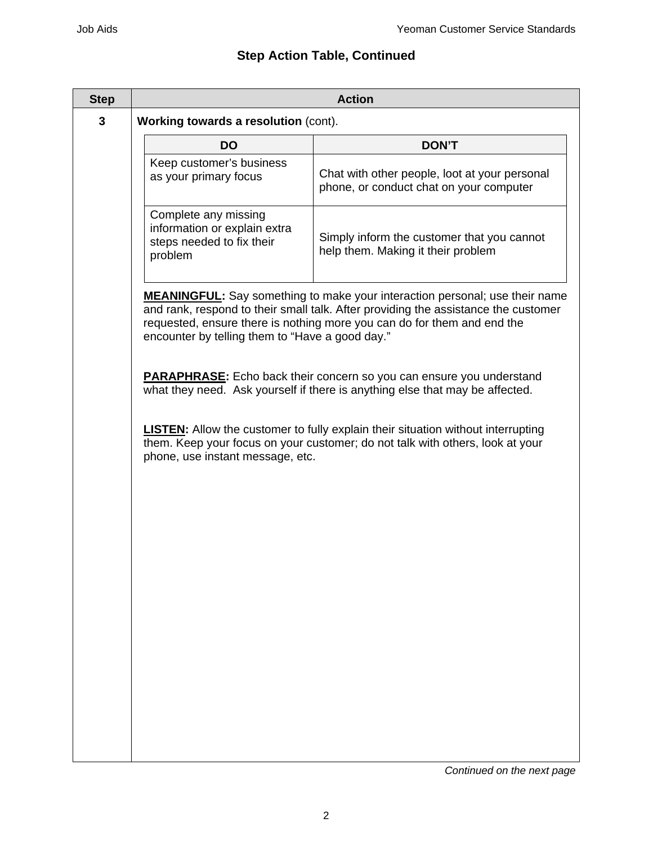## **Step Action Table, Continued**

| <b>Step</b> | <b>Action</b>                                                                                                                                                                                                                                                                                          |                                                                                          |  |  |  |  |
|-------------|--------------------------------------------------------------------------------------------------------------------------------------------------------------------------------------------------------------------------------------------------------------------------------------------------------|------------------------------------------------------------------------------------------|--|--|--|--|
| 3           | Working towards a resolution (cont).                                                                                                                                                                                                                                                                   |                                                                                          |  |  |  |  |
|             | <b>DO</b>                                                                                                                                                                                                                                                                                              | <b>DON'T</b>                                                                             |  |  |  |  |
|             | Keep customer's business<br>as your primary focus                                                                                                                                                                                                                                                      | Chat with other people, loot at your personal<br>phone, or conduct chat on your computer |  |  |  |  |
|             | Complete any missing<br>information or explain extra<br>steps needed to fix their<br>problem                                                                                                                                                                                                           | Simply inform the customer that you cannot<br>help them. Making it their problem         |  |  |  |  |
|             | <b>MEANINGFUL:</b> Say something to make your interaction personal; use their name<br>and rank, respond to their small talk. After providing the assistance the customer<br>requested, ensure there is nothing more you can do for them and end the<br>encounter by telling them to "Have a good day." |                                                                                          |  |  |  |  |
|             | <b>PARAPHRASE:</b> Echo back their concern so you can ensure you understand<br>what they need. Ask yourself if there is anything else that may be affected.                                                                                                                                            |                                                                                          |  |  |  |  |
|             | <b>LISTEN:</b> Allow the customer to fully explain their situation without interrupting<br>them. Keep your focus on your customer; do not talk with others, look at your<br>phone, use instant message, etc.                                                                                           |                                                                                          |  |  |  |  |
|             |                                                                                                                                                                                                                                                                                                        |                                                                                          |  |  |  |  |
|             |                                                                                                                                                                                                                                                                                                        |                                                                                          |  |  |  |  |
|             |                                                                                                                                                                                                                                                                                                        |                                                                                          |  |  |  |  |
|             |                                                                                                                                                                                                                                                                                                        |                                                                                          |  |  |  |  |
|             |                                                                                                                                                                                                                                                                                                        |                                                                                          |  |  |  |  |
|             |                                                                                                                                                                                                                                                                                                        |                                                                                          |  |  |  |  |

*Continued on the next page*